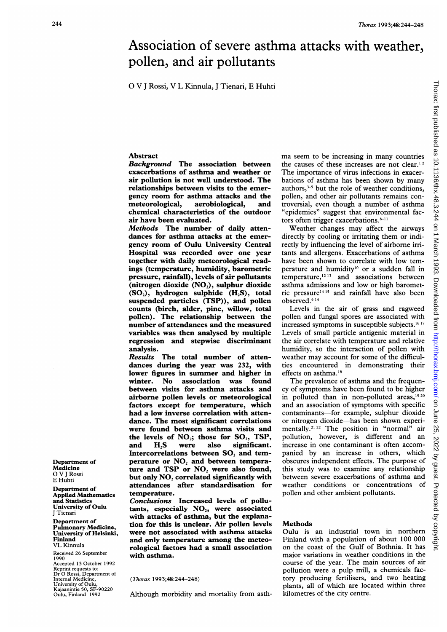# Association of severe asthma attacks with weather, pollen, and air pollutants

0 V <sup>J</sup> Rossi, V L Kinnula, <sup>J</sup> Tienari, E Huhti

# Abstract

Background The association between exacerbations of asthma and weather or air pollution is not well understood. The relationships between visits to the emergency room for asthma attacks and the<br>meteorological, aerobiological, and aerobiological, and chemical characteristics of the outdoor air have been evaluated.

Methods The number of daily attendances for asthma attacks at the emergency room of Oulu University Central Hospital was recorded over one year together with daily meteorological readings (temperature, humidity, barometric pressure, rainfall), levels of air pollutants (nitrogen dioxide  $(NO<sub>2</sub>)$ , sulphur dioxide  $(SO<sub>2</sub>)$ , hydrogen sulphide  $(H.S)$ , total suspended particles (TSP)), and pollen counts (birch, alder, pine, willow, total pollen). The relationship between the number of attendances and the measured variables was then analysed by multiple regression and stepwise discriminant analysis.

Results The total number of attendances during the year was 232, with lower figures in summer and higher in winter. No association was found between visits for asthma attacks and airborne pollen levels or meteorological factors except for temperature, which had a low inverse correlation with attendance. The most significant correlations were found between asthma visits and the levels of  $NO_2$ ; those for  $SO_2$ , TSP, and H2S were also significant. Intercorrelations between SO<sub>2</sub> and temperature or  $NO<sub>2</sub>$  and between temperature and  $TSP$  or  $NO<sub>2</sub>$  were also found, but only NO<sub>2</sub> correlated significantly with attendances after standardisation for temperature.

Conclusions Increased levels of pollutants, especially  $NO<sub>2</sub>$ , were associated with attacks of asthma, but the explanation for this is unclear. Air pollen levels were not associated with asthma attacks and only temperature among the meteorological factors had a small association with asthma.

(Thorax 1993;48:244-248)

Although morbidity and mortality from asth-

ma seem to be increasing in many countries the causes of these increases are not clear.' <sup>2</sup> The importance of virus infections in exacerbations of asthma has been shown by many authors,<sup>3-5</sup> but the role of weather conditions, pollen, and other air pollutants remains controversial, even though a number of asthma "epidemics" suggest that environmental factors often trigger exacerbations. $6-11$ 

Weather changes may affect the airways directly by cooling or irritating them or indirectly by influencing the level of airborne irritants and allergens. Exacerbations of asthma have been shown to correlate with low temperature and humidity<sup>10</sup> or a sudden fall in temperature,<sup>12.13</sup> and associations between asthma admissions and low or high barometric pressure<sup>1415</sup> and rainfall have also been observed.6 <sup>14</sup>

Levels in the air of grass and ragweed pollen and fungal spores are associated with increased symptoms in susceptible subjects.'6 <sup>1</sup>' Levels of small particle antigenic material in the air correlate with temperature and relative humidity, so the interaction of pollen with weather may account for some of the difficulties encountered in demonstrating their effects on asthma.'8

The prevalence of asthma and the frequency of symptoms have been found to be higher in polluted than in non-polluted areas,<sup>1920</sup> and an association of symptoms with specific contaminants-for example, sulphur dioxide or nitrogen dioxide-has been shown experimentally.<sup>21,22</sup> The position in "normal" air pollution, however, is different and an increase in one contaminant is often accompanied by an increase in others, which obscures independent effects. The purpose of this study was to examine any relationship between severe exacerbations of asthma and weather conditions or concentrations of pollen and other ambient pollutants.

#### **Methods**

Oulu is an industrial town in northern Finland with a population of about 100 000 on the coast of the Gulf of Bothnia. It has major variations in weather conditions in the course of the year. The main sources of air pollution were a pulp mill, a chemicals factory producing fertilisers, and two heating plants, all of which are located within three kilometres of the city centre.

Department of Medicine 0 V <sup>J</sup> Rossi E Huhti

Department of Applied Mathematics and Statistics University of Oulu J Tienari

Department of Pulmonary Medicine, University of Helsinki, Finland VL Kinnula

Received 26 September 1990 Accepted 13 October 1992 Reprint requests to: Dr 0 Rossi, Department of Internal Medicine, University of Oulu, Kajaanintie 50, SF-90220 Oulu, Finland 1992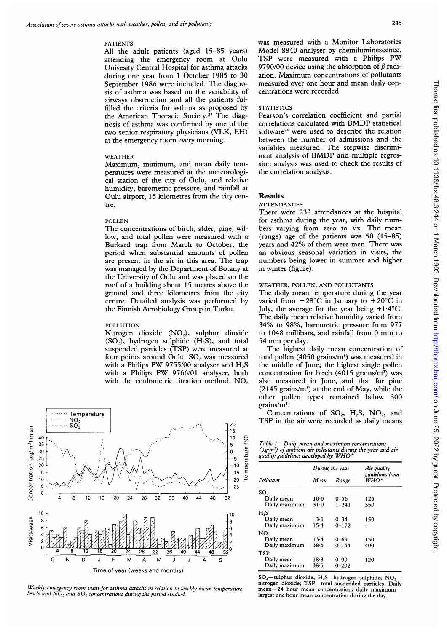#### PATIENTS

All the adult patients (aged 15-85 years) attending the emergency room at Oulu Univesity Central Hospital for asthma attacks during one year from <sup>1</sup> October 1985 to 30 September 1986 were included. The diagnosis of asthma was based on the variability of airways obstruction and all the patients fulfilled the criteria for asthma as proposed by the American Thoracic Society.23 The diagnosis of asthma was confirmed by one of the two senior respiratory physicians (VLK, EH) at the emergency room every morning.

## WEATHER

Maximum, minimum, and mean daily temperatures were measured at the meteorological station of the city of Oulu, and relative humidity, barometric pressure, and rainfall at Oulu airport, 15 kilometres from the city centre.

#### POLLEN

The concentrations of birch, alder, pine, willow, and total pollen were measured with a Burkard trap from March to October, the period when substantial amounts of pollen are present in the air in this area. The trap was managed by the Department of Botany at the University of Oulu and was placed on the roof of a building about 15 metres above the ground and three kilometres from the city centre. Detailed analysis was performed by the Finnish Aerobiology Group in Turku.

## POLLUTION

Nitrogen dioxide (NO<sub>2</sub>), sulphur dioxide  $(SO<sub>2</sub>)$ , hydrogen sulphide  $(H<sub>2</sub>S)$ , and total suspended particles (TSP) were measured at four points around Oulu. SO, was measured with a Philips PW 9755/00 analyser and  $H_2S$ with <sup>a</sup> Philips PW 9766/01 analyser, both with the coulometric titration method.  $NO<sub>2</sub>$ 



Weekly emergency room visits for asthma attacks in relation to weekly mean temperature levels and  $NO_2$  and  $SO_2$  concentrations during the period studied.

was measured with a Monitor Laboratories Model 8840 analyser by chemiluminescence. TSP were measured with <sup>a</sup> Philips PW 9790/00 device using the absorption of  $\beta$  radiation. Maximum concentrations of pollutants measured over one hour and mean daily concentrations were recorded.

### **STATISTICS**

Pearson's correlation coefficient and partial correlations calculated with BMDP statistical software<sup>24</sup> were used to describe the relation between the number of admissions and the variables measured. The stepwise discriminant analysis of BMDP and multiple regression analysis was used to check the results of the correlation analysis.

### Results

#### **ATTENDANCES**

There were 232 attendances at the hospital for asthma during the year, with daily numbers varying from zero to six. The mean (range) age of the patients was 50 (15-85) years and 42% of them were men. There was an obvious seasonal variation in visits, the numbers being lower in summer and higher in winter (figure).

# WEATHER, POLLEN, AND POLLUTANTS

The daily mean temperature during the year varied from  $-28^{\circ}$ C in January to  $+20^{\circ}$ C in July, the average for the year being  $+1.4$ °C. The daily mean relative humidity varied from 34% to 98%, barometric pressure from 977 to <sup>1048</sup> millibars, and rainfall from <sup>0</sup> mm to <sup>54</sup> mm per day.

The highest daily mean concentration of total pollen (4050 grains/ $m<sup>3</sup>$ ) was measured in the middle of June; the highest single pollen concentration for birch  $(4015 \text{ grains/m}^3)$  was also measured in June, and that for pine  $(2145 \text{ grains/m}^3)$  at the end of May, while the other pollen types remained below 300 grains/ $m^3$ .

Concentrations of  $SO_2$ ,  $H_2S$ ,  $NO_2$ , and TSP in the air were recorded as daily means

| Table 1 Daily mean and maximum concentrations                   |  |
|-----------------------------------------------------------------|--|
| $(\mu g/m^3)$ of ambient air pollutants during the year and air |  |
| quality guidelines developed by $WHO^*$                         |  |

|               |          | During the year | Air quality<br>guidelines from<br>WHO* |  |
|---------------|----------|-----------------|----------------------------------------|--|
| Pollutant     | Mean     | Range           |                                        |  |
| SO,           |          |                 |                                        |  |
| Daily mean    | $10-0$   | $0 - 56$        | 125                                    |  |
| Daily maximum | 31.0     | $1 - 241$       | 350                                    |  |
| H,S           |          |                 |                                        |  |
| Daily mean    | $3-1$    | $0 - 34$        | 150                                    |  |
| Daily maximum | $15 - 4$ | $0 - 172$       |                                        |  |
| NO,           |          |                 |                                        |  |
| Daily mean    | 13.4     | $0 - 69$        | 150                                    |  |
| Daily maximum | 38.5     | $0 - 154$       | 400                                    |  |
| <b>TSP</b>    |          |                 |                                        |  |
| Daily mean    | 18.3     | $0 - 90$        | 120                                    |  |
| Daily maximum | $38 - 5$ | $0 - 202$       |                                        |  |

SO<sub>2</sub>-sulphur dioxide; H<sub>2</sub>S-hydrogen sulphide; NO<sub>2</sub>nitrogen dioxide; TSP-total suspended particles. Daily mean-24 hour mean concentration; daily maximumlargest one hour mean concentration during the day.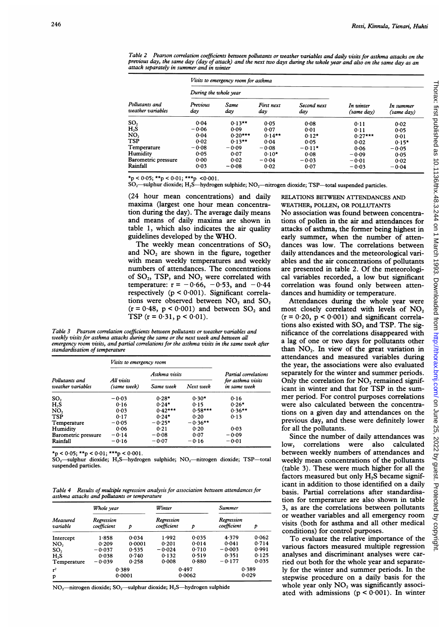Table 2 – Pearson correlation coefficients between pollutants or weather variables and daily visits for asthma attacks on the<br>previous day, the same day (day of attack) and the next two days during the whole year and also attack separately in summer and in winter

|                                     | Visits to emergency room for asthma |             |                   |                    |                         |                         |  |
|-------------------------------------|-------------------------------------|-------------|-------------------|--------------------|-------------------------|-------------------------|--|
| Pollutants and<br>weather variables | During the whole year               |             |                   |                    |                         |                         |  |
|                                     | Previous<br>day                     | Same<br>day | First next<br>dαν | Second next<br>day | In winter<br>(same day) | In summer<br>(same dav) |  |
| $\text{SO}_2$                       | 0.04                                | $0.13**$    | 0.05              | 0.08               | 0.11                    | 0.02                    |  |
| H,S                                 | $-0.06$                             | 0.09        | 0.07              | 0.01               | 0.11                    | 0.05                    |  |
| NO,                                 | 0.04                                | $0.20***$   | $0.14**$          | $0.12*$            | $0.27***$               | 0.01                    |  |
| TSP                                 | 0.02                                | $0.13**$    | 0.04              | 0.05               | 0.02                    | $0.15*$                 |  |
| Temperature                         | $-0.08$                             | $-0.09$     | $-0.08$           | $-0.11*$           | 0.06                    | $-0.05$                 |  |
| Humidity                            | 0.05                                | 0.07        | $0.10*$           | 0.08               | $-0.09$                 | 0.05                    |  |
| <b>Barometric pressure</b>          | 0.00                                | 0.02        | $-0.04$           | $-0.03$            | $-0.01$                 | 0.02                    |  |
| Rainfall                            | 0.03                                | $-0.08$     | 0.02              | 0.07               | $-0.03$                 | $-0.04$                 |  |

 $\overline{P_{\text{p}}}>0.05$ ; \*\*p < 0.01; \*\*\*p < 0.001.

 $SO<sub>2</sub>$ -sulphur dioxide; H<sub>2</sub>S-hydrogen sulphide; NO<sub>2</sub>-nitrogen dioxide; TSP-total suspended particles.

(24 hour mean concentrations) and daily maxima (largest one hour mean concentration during the day). The average daily means and means of daily maxima are shown in table 1, which also indicates the air quality guidelines developed by the WHO.

The weekly mean concentrations of SO, and NO, are shown in the figure, together with mean weekly temperatures and weekly numbers of attendances. The concentrations of SO,, TSP, and NO, were correlated with temperature:  $r = -0.66, -0.53,$  and  $-0.44$ respectively  $(p < 0.001)$ . Significant correlations were observed between  $NO<sub>2</sub>$  and  $SO<sub>2</sub>$  $(r = 0.48, p < 0.001)$  and between SO<sub>2</sub> and TSP  $(r = 0.31, p < 0.01)$ .

Table 3 Pearson correlation coefficients between pollutants or weather variables and weekly visits for asthma attacks during the same or the next week and between all emergency room visits, and partial correlations for the asthma visits in the same week after standardisation of temperature

| All visits<br>(same week) |           |                                 | Partial correlations              |  |
|---------------------------|-----------|---------------------------------|-----------------------------------|--|
|                           | Same week | Next week                       | for asthma visits<br>in same week |  |
| $-0.03$                   | $0.28*$   | $0.30*$                         | 0.16                              |  |
| 0.16                      | $0.24*$   | 0.15                            | $0.26*$                           |  |
| 0.03                      | $0.42***$ | $0.58***$                       | $0.36**$                          |  |
| 0.17                      | $0.24*$   | 0.20                            | 0.13                              |  |
| $-0.05$                   | $-0.25*$  | $-0.36**$                       |                                   |  |
| 0.06                      | 0.21      | 0.20                            | 0.03                              |  |
| $-0.14$                   | $-0.08$   | 0.07                            | $-0.09$                           |  |
| $-0.16$                   | $-0.07$   | $-0.16$                         | $-0.01$                           |  |
|                           |           | <i>Visits to emergency room</i> | Asthma visits                     |  |

 $*_p$  < 0.05;  $**_p$  < 0.01;  $***_p$  < 0.001.

 $\mathrm{SO}_2$ —sulphur dioxide;  $\mathrm{H}_2$ S—hydrogen sulphide;  $\mathrm{NO}_2$ —nitrogen dioxide; TSP—total suspended particles.

Table 4 Results of multiple regression analysis for association between attendances for asthma attacks and polutants or temperature

| Measured<br>variable | Whole year                |        | Winter                    |       | <b>Summer</b>             |       |
|----------------------|---------------------------|--------|---------------------------|-------|---------------------------|-------|
|                      | Regression<br>coefficient | p      | Regression<br>coefficient | p     | Regression<br>coefficient | D     |
| Intercept            | 1.858                     | 0.034  | 1.992                     | 0.035 | 4.379                     | 0.062 |
| NO,                  | 0.209                     | 0.0001 | 0.201                     | 0.014 | 0.041                     | 0.714 |
| SO <sub>2</sub>      | $-0.037$                  | 0.535  | $-0.024$                  | 0.710 | $-0.003$                  | 0.991 |
| $H_2S$               | 0.038                     | 0.740  | 0.132                     | 0.519 | 0.351                     | 0.125 |
| Temperature          | $-0.039$                  | 0.258  | 0.008                     | 0.880 | $-0.177$                  | 0.035 |
| r <sup>2</sup>       | 0.389                     |        | 0.497                     |       | 0.389                     |       |
| p                    | 0.0001                    |        | 0.0062                    |       | 0.029                     |       |

NO<sub>2</sub>-nitrogen dioxide; SO<sub>2</sub>-sulphur dioxide; H<sub>2</sub>S-hydrogen sulphide

RELATIONS BETWEEN ATTENDANCES AND WEATHER, POLLEN, OR POLLUTANTS

No association was found between concentrations of pollen in the air and attendances for attacks of asthma, the former being highest in early summer, when the number of attendances was low. The correlations between daily attendances and the meteorological variables and the air concentrations of pollutants are presented in table 2. Of the meteorological variables recorded, a low but significant correlation was found only between attendances and humidity or temperature.

Attendances during the whole year were most closely correlated with levels of NO,  $(r = 0.20, p < 0.001)$  and significant correlations also existed with  $SO<sub>2</sub>$  and TSP. The significance of the correlations disappeared with a lag of one or two days for pollutants other than  $NO<sub>2</sub>$ . In view of the great variation in attendances and measured variables during the year, the associations were also evaluated separately for the winter and summer periods. Only the correlation for  $NO<sub>2</sub>$  remained significant in winter and that for TSP in the summer period. For control purposes correlations were also calculated between the concentrations on a given day and attendances on the previous day, and these were definitely lower for all the pollutants.

Since the number of daily attendances was low, correlations were also calculated between weekly numbers of attendances and weekly mean concentrations of the pollutants (table 3). These were much higher for all the factors measured but only  $H_2S$  became significant in addition to those identified on a daily basis. Partial correlations after standardisation for temperature are also shown in table 3, as are the correlations between pollutants or weather variables and all emergency room visits (both for asthma and all other medical conditions) for control purposes.

To evaluate the relative importance of the various factors measured multiple regression analyses and discriminant analyses were carried out both for the whole year and separately for the winter and summer periods. In the stepwise procedure on a daily basis for the whole year only  $NO<sub>2</sub>$  was significantly associated with admissions  $(p < 0.001)$ . In winter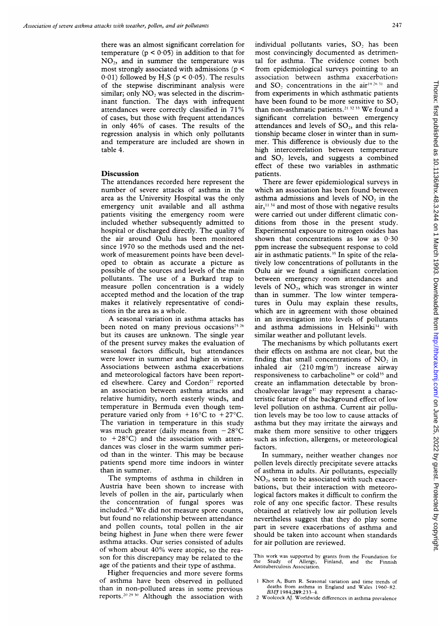there was an almost significant correlation for temperature ( $p < 0.05$ ) in addition to that for NO2, and in summer the temperature was most strongly associated with admissions ( $p$  < 0.01) followed by  $H_2S$  ( $p < 0.05$ ). The results of the stepwise discriminant analysis were similar; only NO<sub>2</sub> was selected in the discriminant function. The days with infrequent attendances were correctly classified in 71% of cases, but those with frequent attendances in only 46% of cases. The results of the regression analysis in which only pollutants and temperature are included are shown in table 4.

## **Discussion**

The attendances recorded here represent the number of severe attacks of asthma in the area as the University Hospital was the only emergency unit available and all asthma patients visiting the emergency room were included whether subsequently admitted to hospital or discharged directly. The quality of the air around Oulu has been monitored since 1970 so the methods used and the network of measurement points have been developed to obtain as accurate a picture as possible of the sources and levels of the main pollutants. The use of a Burkard trap to measure pollen concentration is a widely accepted method and the location of the trap makes it relatively representative of conditions in the area as a whole.

A seasonal variation in asthma attacks has been noted on many previous occasions<sup>25 26</sup> but its causes are unknown. The single year of the present survey makes the evaluation of seasonal factors difficult, but attendances were lower in summer and higher in winter. Associations between asthma exacerbations and meteorological factors have been reported elsewhere. Carey and Cordon<sup>27</sup> reported an association between asthma attacks and relative humidity, north easterly winds, and temperature in Bermuda even though temperature varied only from  $+16^{\circ}$ C to  $+27^{\circ}$ C. The variation in temperature in this study was much greater (daily means from  $-28^{\circ}$ C to  $+28$ °C) and the association with attendances was closer in the warm summer period than in the winter. This may be because patients spend more time indoors in winter than in summer.

The symptoms of asthma in children in Austria have been shown to increase with levels of pollen in the air, particularly when the concentration of fungal spores was included.28 We did not measure spore counts, but found no relationship between attendance and pollen counts, total pollen in the air being highest in June when there were fewer asthma attacks. Our series consisted of adults of whom about 40% were atopic, so the reason for this discrepancy may be related to the age of the patients and their type of asthma.

Higher frequencies and more severe forms of asthma have been observed in polluted than in non-polluted areas in some previous reports.<sup>20 29 30</sup> Although the association with

 on June 25, 2022 by guest. Protected by copyright. <http://thorax.bmj.com/> Thorax: first published as 10.1136/thx.48.3.244 on 1 March 1993. Downloaded from Thorax: first published as 10.1136/thx.48.3.244 on 1 March 1993. Downloaded from http://thorax.bmj.com/ on June 25, 2022 by guest. Protected by copyright

individual pollutants varies, SO, has been most convincingly documented as detrimental for asthma. The evidence comes both from epidemiological surveys pointing to an association between asthma exacerbations and SO<sub>2</sub> concentrations in the air<sup>19 26</sup> 31 and from experiments in which asthmatic patients have been found to be more sensitive to SO, than non-asthmatic patients.<sup>21</sup> <sup>32</sup> <sup>33</sup> We found a significant correlation between emergency attendances and levels of  $SO<sub>2</sub>$ , and this relationship became closer in winter than in summer. This difference is obviously due to the high intercorrelation between temperature and  $SO<sub>2</sub>$  levels, and suggests a combined effect of these two variables in asthmatic patients.

There are fewer epidemiological surveys in which an association has been found between asthma admissions and levels of  $NO<sub>2</sub>$  in the  $air,$ <sup>11.34</sup> and most of those with negative results were carried out under different climatic conditions from those in the present study. Experimental exposure to nitrogen oxides has shown that concentrations as low as  $0.30$ ppm increase the subsequent response to cold air in asthmatic patients.<sup>35</sup> In spite of the relatively low concentrations of pollutants in the Oulu air we found a significant correlation between emergency room attendances and levels of  $NO<sub>2</sub>$ , which was stronger in winter than in summer. The low winter temperatures in Oulu may explain these results, which are in agreement with those obtained in an investigation into levels of pollutants and asthma admissions in Helsinki<sup>34</sup> with similar weather and pollutant levels.

The mechanisms by which pollutants exert their effects on asthma are not clear, but the finding that small concentrations of NO, in inhaled air  $(210 \text{ mg/m}^3)$  increase airway responsiveness to carbacholine<sup>36</sup> or cold<sup>35</sup> and create an inflammation detectable by bronchoalveolar lavage<sup>37</sup> may represent a characteristic feature of the background effect of low level pollution on asthma. Current air pollution levels may be too low to cause attacks of asthma but they may irritate the airways and make them more sensitive to other triggers such as infection, allergens, or meteorological factors.

In summary, neither weather changes nor pollen levels directly precipitate severe attacks of asthma in adults. Air pollutants, especially NO2, seem to be associated with such exacerbations, but their interaction with meteorological factors makes it difficult to confirm the role of any one specific factor. These results obtained at relatively low air pollution levels nevertheless suggest that they do play some part in severe exacerbations of asthma and should be taken into account when standards for air pollution are reviewed.

This work was supported by grants from the Foundation for the Study of Allergy, Finland, and the Finnish the Study of Allergy,<br>Antituberculosis Association.

<sup>1</sup> Khot A, Burn R. Seasonal variation and time trends of deaths from asthma in England and Wales 1960-82. BM7 1984:289:233-4.

2 Woolcock AJ. Worldwide differences in asthma prevalence